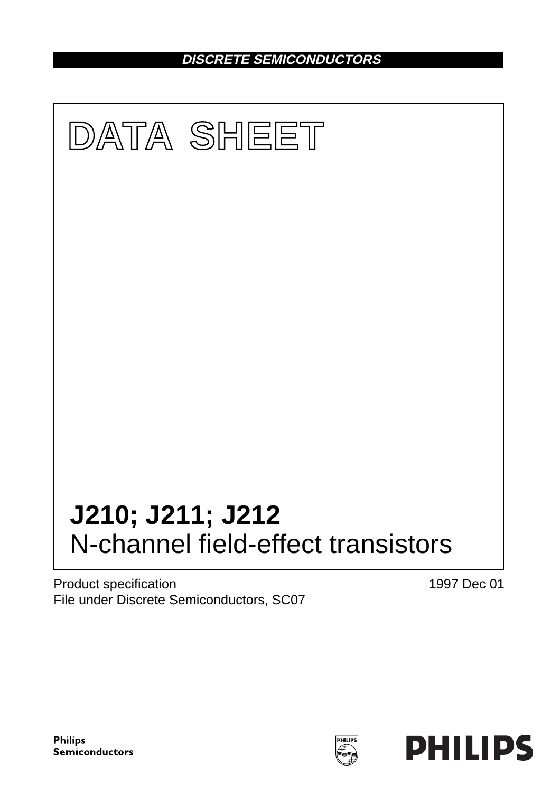**DISCRETE SEMICONDUCTORS**



Product specification File under Discrete Semiconductors, SC07

1997 Dec 01



**HILIP**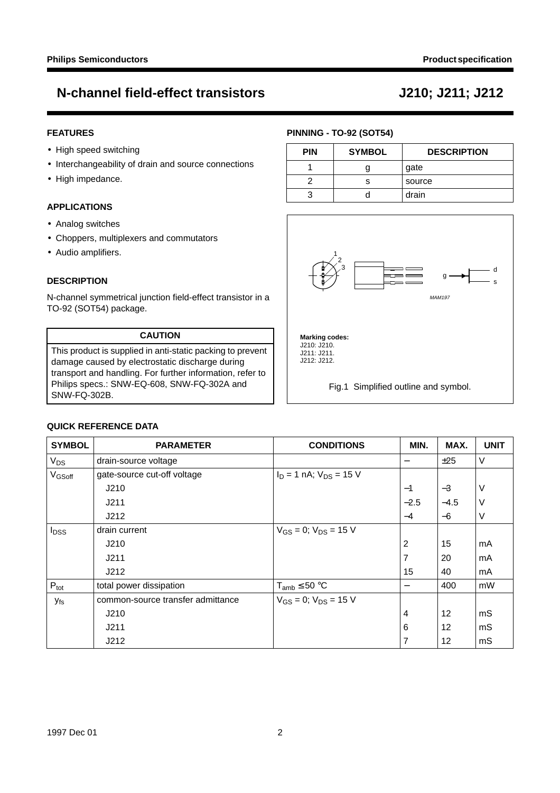## **N-channel field-effect transistors J210; J211; J212**

## **FEATURES**

- High speed switching
- Interchangeability of drain and source connections
- High impedance.

## **APPLICATIONS**

- Analog switches
- Choppers, multiplexers and commutators
- Audio amplifiers.

## **DESCRIPTION**

N-channel symmetrical junction field-effect transistor in a TO-92 (SOT54) package.

## **CAUTION**

This product is supplied in anti-static packing to prevent damage caused by electrostatic discharge during transport and handling. For further information, refer to Philips specs.: SNW-EQ-608, SNW-FQ-302A and SNW-FQ-302B.

## **PINNING - TO-92 (SOT54)**

| <b>PIN</b> | <b>SYMBOL</b> | <b>DESCRIPTION</b> |
|------------|---------------|--------------------|
|            |               | gate               |
|            |               | source             |
|            |               | drain              |



**Marking codes:** J210: J210. J211: J211. J212: J212.

Fig.1 Simplified outline and symbol.

## **QUICK REFERENCE DATA**

| <b>SYMBOL</b>         | <b>PARAMETER</b>                  | <b>CONDITIONS</b>              | MIN.   | MAX.   | <b>UNIT</b> |
|-----------------------|-----------------------------------|--------------------------------|--------|--------|-------------|
| <b>V<sub>DS</sub></b> | drain-source voltage              |                                | —      | ±25    | V           |
| V <sub>GSoff</sub>    | gate-source cut-off voltage       | $I_D = 1$ nA; $V_{DS} = 15$ V  |        |        |             |
|                       | J210                              |                                | $-1$   | $-3$   | V           |
|                       | J211                              |                                | $-2.5$ | $-4.5$ | ٧           |
|                       | J212                              |                                | $-4$   | $-6$   | $\vee$      |
| $I_{DSS}$             | drain current                     | $V_{GS} = 0$ ; $V_{DS} = 15$ V |        |        |             |
|                       | J210                              |                                | 2      | 15     | mA          |
|                       | J211                              |                                | 7      | 20     | mA          |
|                       | J212                              |                                | 15     | 40     | mA          |
| $P_{\text{tot}}$      | total power dissipation           | $T_{amb} \leq 50 °C$           | —      | 400    | mW          |
| $ y_{fs} $            | common-source transfer admittance | $V_{GS} = 0$ ; $V_{DS} = 15$ V |        |        |             |
|                       | J210                              |                                | 4      | 12     | mS          |
|                       | J211                              |                                | 6      | 12     | mS          |
|                       | J212                              |                                | 7      | 12     | mS          |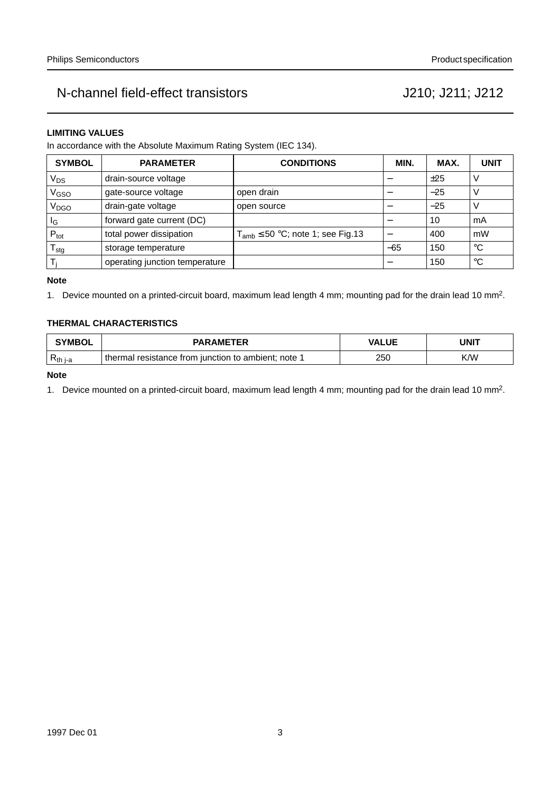## **LIMITING VALUES**

In accordance with the Absolute Maximum Rating System (IEC 134).

| <b>SYMBOL</b>               | <b>PARAMETER</b>               | <b>CONDITIONS</b>                       | MIN.                     | MAX.  | <b>UNIT</b> |
|-----------------------------|--------------------------------|-----------------------------------------|--------------------------|-------|-------------|
| V <sub>DS</sub>             | drain-source voltage           |                                         |                          | ±25   |             |
| V <sub>GSO</sub>            | gate-source voltage            | open drain                              |                          | $-25$ |             |
| V <sub>DGO</sub>            | drain-gate voltage             | open source                             |                          | $-25$ |             |
| l <sub>G</sub>              | forward gate current (DC)      |                                         |                          | 10    | mA          |
| $P_{\text{tot}}$            | total power dissipation        | $T_{amb} \le 50$ °C; note 1; see Fig.13 |                          | 400   | mW          |
| $\mathsf{T}_{\textsf{stg}}$ | storage temperature            |                                         | $-65$                    | 150   | °C          |
|                             | operating junction temperature |                                         | $\overline{\phantom{a}}$ | 150   | °C          |

### **Note**

1. Device mounted on a printed-circuit board, maximum lead length 4 mm; mounting pad for the drain lead 10 mm<sup>2</sup>.

### **THERMAL CHARACTERISTICS**

| <b>SYMBOL</b> | $\blacksquare$<br>ΔΜΗ                                          | JΔ  | UNIT |
|---------------|----------------------------------------------------------------|-----|------|
| ד⁄th i-a      | note<br>ambient:<br>∟iunction to<br>thermal<br>resistance from | 250 | K/W  |

### **Note**

1. Device mounted on a printed-circuit board, maximum lead length 4 mm; mounting pad for the drain lead 10 mm<sup>2</sup>.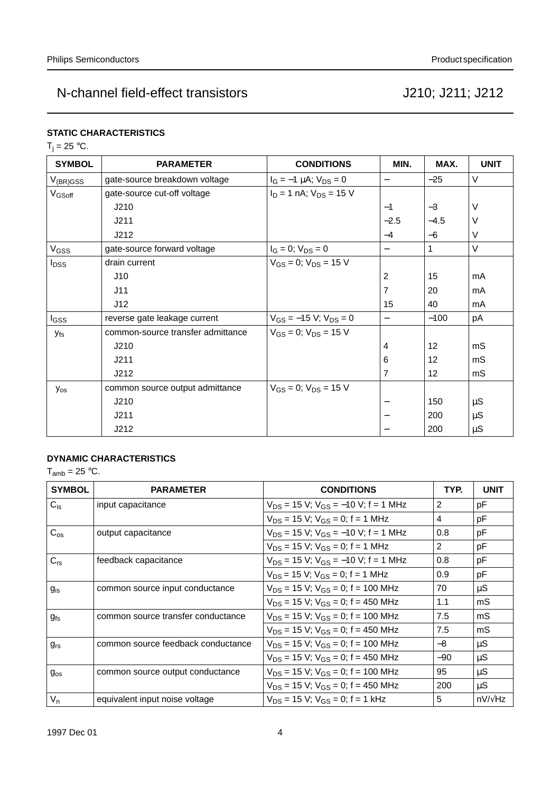# N-channel field-effect transistors **Material State State 1210**; J211; J212

## **STATIC CHARACTERISTICS**

 $T_i = 25$  °C.

| <b>SYMBOL</b>           | <b>PARAMETER</b>                  | <b>CONDITIONS</b>               | MIN.              | MAX.   | <b>UNIT</b> |
|-------------------------|-----------------------------------|---------------------------------|-------------------|--------|-------------|
| $V_{(BR)GSS}$           | gate-source breakdown voltage     | $I_G = -1 \mu A$ ; $V_{DS} = 0$ |                   | $-25$  | $\vee$      |
| V <sub>GSoff</sub>      | gate-source cut-off voltage       | $I_D = 1$ nA; $V_{DS} = 15$ V   |                   |        |             |
|                         | J210                              |                                 | $-1$              | $-3$   | V           |
|                         | J211                              |                                 | $-2.5$            | $-4.5$ | V           |
|                         | J212                              |                                 | $-4$              | $-6$   | V           |
| V <sub>GSS</sub>        | gate-source forward voltage       | $I_G = 0; V_{DS} = 0$           | $\qquad \qquad -$ | 1      | $\vee$      |
| <b>I</b> <sub>DSS</sub> | drain current                     | $V_{GS} = 0$ ; $V_{DS} = 15$ V  |                   |        |             |
|                         | J10                               |                                 | $\overline{2}$    | 15     | mA          |
|                         | J11                               |                                 | 7                 | 20     | mA          |
|                         | J12                               |                                 | 15                | 40     | mA          |
| l <sub>GSS</sub>        | reverse gate leakage current      | $V_{GS} = -15 V; V_{DS} = 0$    | $\qquad \qquad -$ | $-100$ | рA          |
| $ y_{fs} $              | common-source transfer admittance | $V_{GS} = 0$ ; $V_{DS} = 15$ V  |                   |        |             |
|                         | J210                              |                                 | 4                 | 12     | mS          |
|                         | J211                              |                                 | 6                 | 12     | mS          |
|                         | J212                              |                                 | $\overline{7}$    | 12     | mS          |
| $ y_{os} $              | common source output admittance   | $V_{GS} = 0$ ; $V_{DS} = 15$ V  |                   |        |             |
|                         | J210                              |                                 |                   | 150    | μS          |
|                         | J211                              |                                 |                   | 200    | μS          |
|                         | J212                              |                                 |                   | 200    | $\mu S$     |

## **DYNAMIC CHARACTERISTICS**

 $T_{amb} = 25 °C$ .

| <b>SYMBOL</b> | <b>PARAMETER</b>                   | <b>CONDITIONS</b>                                   | TYP.                    | <b>UNIT</b> |
|---------------|------------------------------------|-----------------------------------------------------|-------------------------|-------------|
| $C_{is}$      | input capacitance                  | $V_{DS}$ = 15 V; $V_{GS}$ = -10 V; f = 1 MHz        | 2                       | рF          |
|               |                                    | $V_{DS}$ = 15 V; $V_{GS}$ = 0; f = 1 MHz            | $\overline{\mathbf{4}}$ | рF          |
| $C_{os}$      | output capacitance                 | $V_{DS}$ = 15 V; V <sub>GS</sub> = -10 V; f = 1 MHz | 0.8                     | рF          |
|               |                                    | $V_{DS}$ = 15 V; $V_{GS}$ = 0; f = 1 MHz            | 2                       | pF          |
| $C_{rs}$      | feedback capacitance               | $V_{DS}$ = 15 V; V <sub>GS</sub> = -10 V; f = 1 MHz | 0.8                     | pF          |
|               |                                    | $V_{DS}$ = 15 V; $V_{GS}$ = 0; f = 1 MHz            | 0.9                     | pF          |
| $g_{is}$      | common source input conductance    | $V_{DS}$ = 15 V; V <sub>GS</sub> = 0; f = 100 MHz   | 70                      | $\mu S$     |
|               |                                    | $V_{DS}$ = 15 V; V <sub>GS</sub> = 0; f = 450 MHz   | 1.1                     | mS          |
| $g_{fs}$      | common source transfer conductance | $V_{DS}$ = 15 V; V <sub>GS</sub> = 0; f = 100 MHz   | 7.5                     | mS          |
|               |                                    | $V_{DS}$ = 15 V; V <sub>GS</sub> = 0; f = 450 MHz   | 7.5                     | mS          |
| $g_{rs}$      | common source feedback conductance | $V_{DS}$ = 15 V; $V_{GS}$ = 0; f = 100 MHz          | $-8$                    | $\mu S$     |
|               |                                    | $V_{DS}$ = 15 V; V <sub>GS</sub> = 0; f = 450 MHz   | $-90$                   | $\mu S$     |
| $g_{os}$      | common source output conductance   | $V_{DS}$ = 15 V; V <sub>GS</sub> = 0; f = 100 MHz   | 95                      | $\mu S$     |
|               |                                    | $V_{DS}$ = 15 V; V <sub>GS</sub> = 0; f = 450 MHz   | 200                     | $\mu S$     |
| $V_n$         | equivalent input noise voltage     | $V_{DS}$ = 15 V; $V_{GS}$ = 0; f = 1 kHz            | 5                       | nV/√Hz      |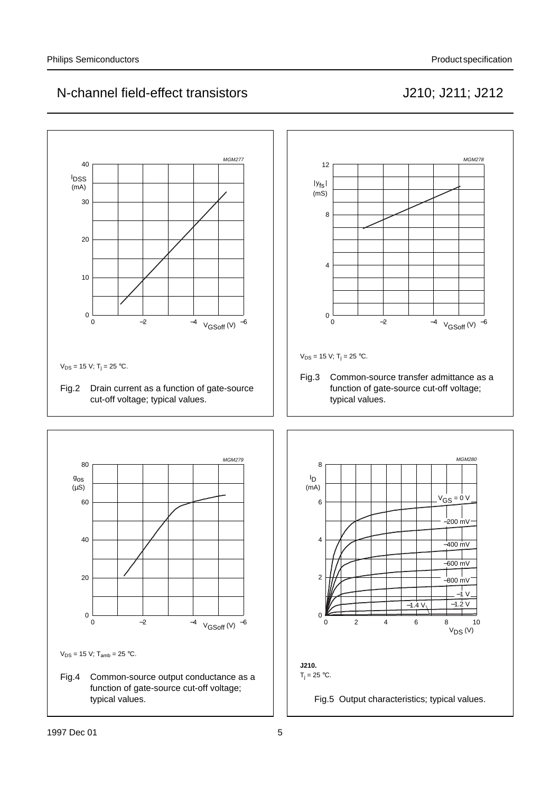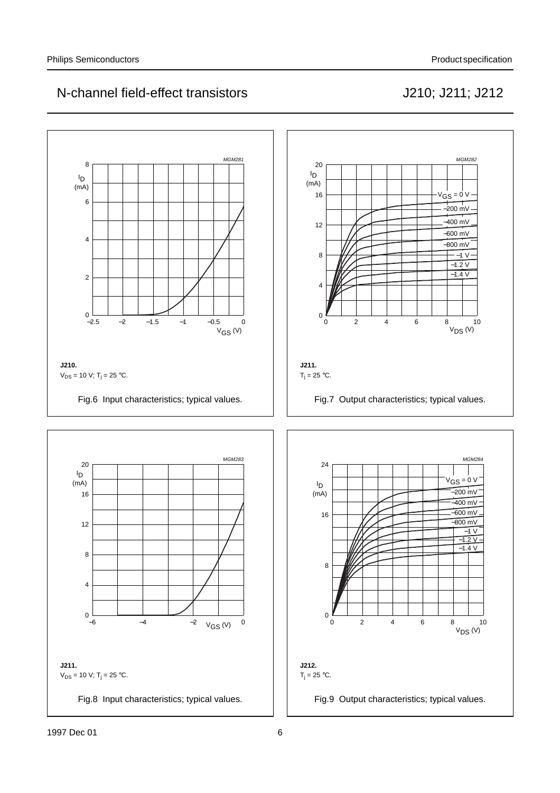





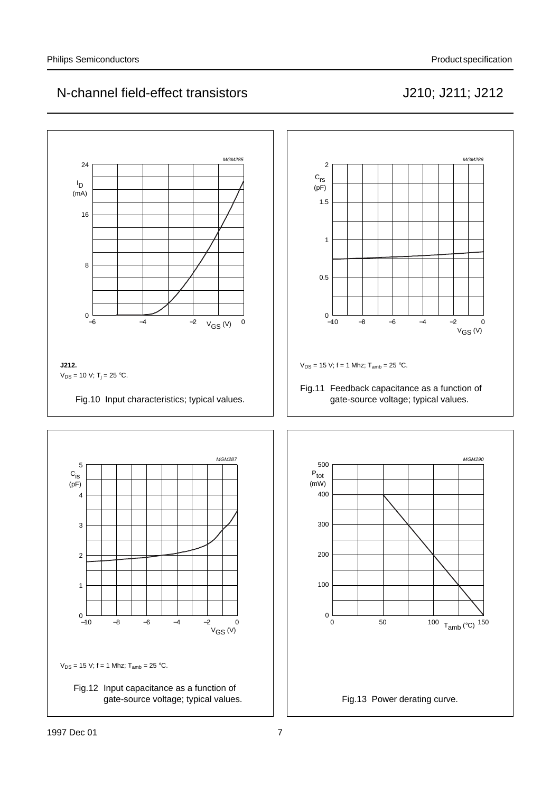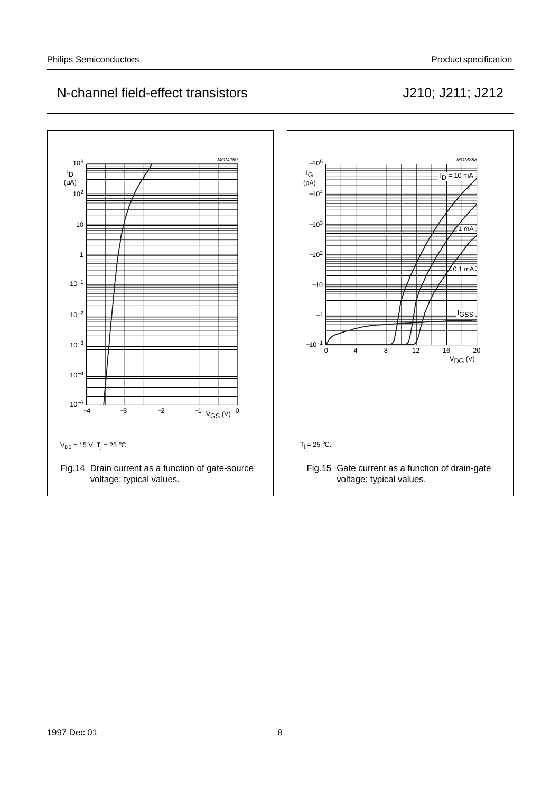

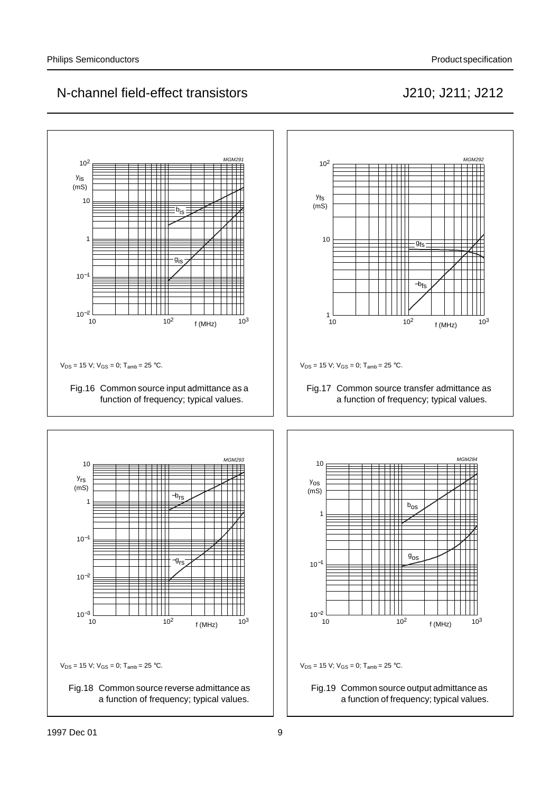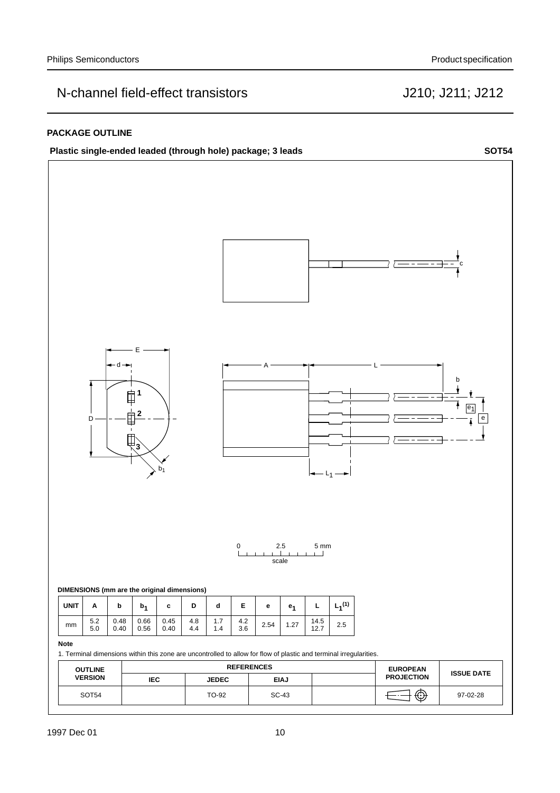### **PACKAGE OUTLINE**



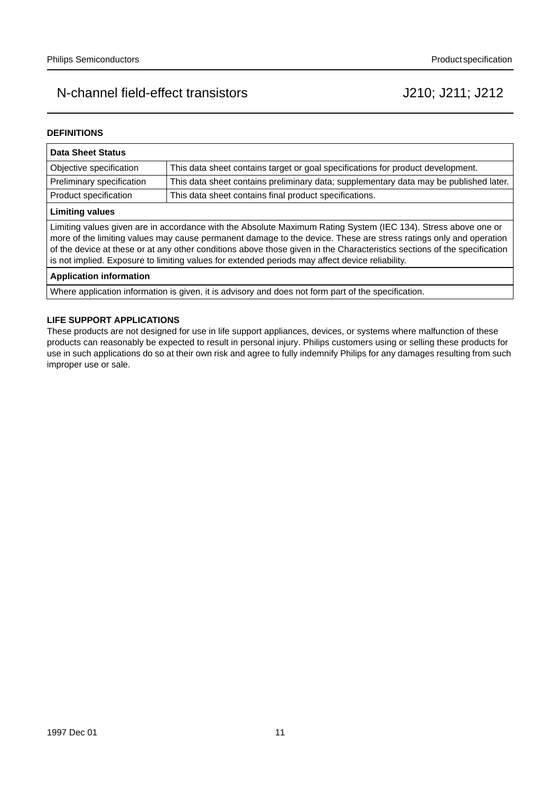## **DEFINITIONS**

| <b>Data Sheet Status</b>                                                                                                                                                                                                                                                                                                                                                                                                                                           |                                                                                       |  |
|--------------------------------------------------------------------------------------------------------------------------------------------------------------------------------------------------------------------------------------------------------------------------------------------------------------------------------------------------------------------------------------------------------------------------------------------------------------------|---------------------------------------------------------------------------------------|--|
| Objective specification                                                                                                                                                                                                                                                                                                                                                                                                                                            | This data sheet contains target or goal specifications for product development.       |  |
| Preliminary specification                                                                                                                                                                                                                                                                                                                                                                                                                                          | This data sheet contains preliminary data; supplementary data may be published later. |  |
| Product specification                                                                                                                                                                                                                                                                                                                                                                                                                                              | This data sheet contains final product specifications.                                |  |
| <b>Limiting values</b>                                                                                                                                                                                                                                                                                                                                                                                                                                             |                                                                                       |  |
| Limiting values given are in accordance with the Absolute Maximum Rating System (IEC 134). Stress above one or<br>more of the limiting values may cause permanent damage to the device. These are stress ratings only and operation<br>of the device at these or at any other conditions above those given in the Characteristics sections of the specification<br>is not implied. Exposure to limiting values for extended periods may affect device reliability. |                                                                                       |  |

## **Application information**

Where application information is given, it is advisory and does not form part of the specification.

### **LIFE SUPPORT APPLICATIONS**

These products are not designed for use in life support appliances, devices, or systems where malfunction of these products can reasonably be expected to result in personal injury. Philips customers using or selling these products for use in such applications do so at their own risk and agree to fully indemnify Philips for any damages resulting from such improper use or sale.